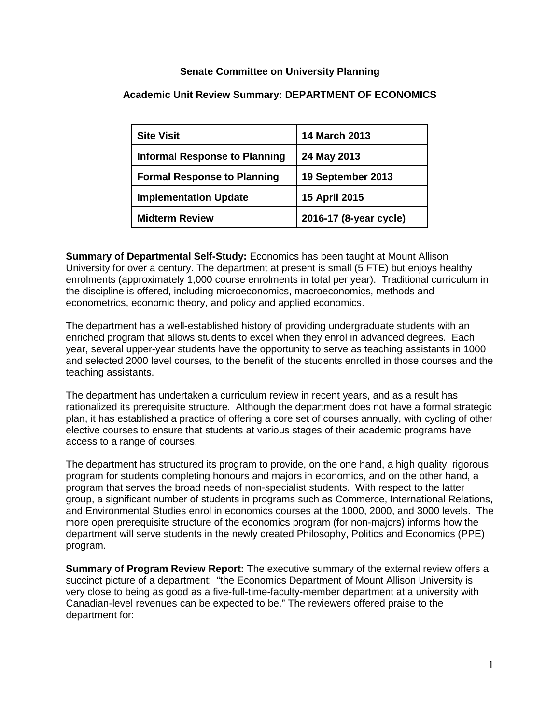## **Senate Committee on University Planning**

## **Academic Unit Review Summary: DEPARTMENT OF ECONOMICS**

| <b>Site Visit</b>                    | 14 March 2013          |
|--------------------------------------|------------------------|
| <b>Informal Response to Planning</b> | 24 May 2013            |
| <b>Formal Response to Planning</b>   | 19 September 2013      |
| <b>Implementation Update</b>         | 15 April 2015          |
| <b>Midterm Review</b>                | 2016-17 (8-year cycle) |

**Summary of Departmental Self-Study:** Economics has been taught at Mount Allison University for over a century. The department at present is small (5 FTE) but enjoys healthy enrolments (approximately 1,000 course enrolments in total per year). Traditional curriculum in the discipline is offered, including microeconomics, macroeconomics, methods and econometrics, economic theory, and policy and applied economics.

The department has a well-established history of providing undergraduate students with an enriched program that allows students to excel when they enrol in advanced degrees. Each year, several upper-year students have the opportunity to serve as teaching assistants in 1000 and selected 2000 level courses, to the benefit of the students enrolled in those courses and the teaching assistants.

The department has undertaken a curriculum review in recent years, and as a result has rationalized its prerequisite structure. Although the department does not have a formal strategic plan, it has established a practice of offering a core set of courses annually, with cycling of other elective courses to ensure that students at various stages of their academic programs have access to a range of courses.

The department has structured its program to provide, on the one hand, a high quality, rigorous program for students completing honours and majors in economics, and on the other hand, a program that serves the broad needs of non-specialist students. With respect to the latter group, a significant number of students in programs such as Commerce, International Relations, and Environmental Studies enrol in economics courses at the 1000, 2000, and 3000 levels. The more open prerequisite structure of the economics program (for non-majors) informs how the department will serve students in the newly created Philosophy, Politics and Economics (PPE) program.

**Summary of Program Review Report:** The executive summary of the external review offers a succinct picture of a department: "the Economics Department of Mount Allison University is very close to being as good as a five-full-time-faculty-member department at a university with Canadian-level revenues can be expected to be." The reviewers offered praise to the department for: